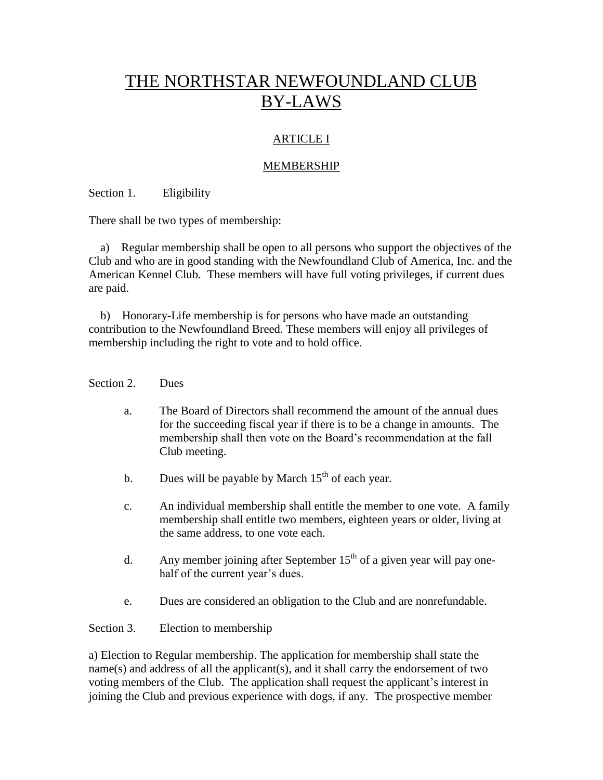# THE NORTHSTAR NEWFOUNDLAND CLUB BY-LAWS

## ARTICLE I

### MEMBERSHIP

Section 1. Eligibility

There shall be two types of membership:

 a) Regular membership shall be open to all persons who support the objectives of the Club and who are in good standing with the Newfoundland Club of America, Inc. and the American Kennel Club. These members will have full voting privileges, if current dues are paid.

 b) Honorary-Life membership is for persons who have made an outstanding contribution to the Newfoundland Breed. These members will enjoy all privileges of membership including the right to vote and to hold office.

#### Section 2. Dues

- a. The Board of Directors shall recommend the amount of the annual dues for the succeeding fiscal year if there is to be a change in amounts. The membership shall then vote on the Board's recommendation at the fall Club meeting.
- b. Dues will be payable by March  $15<sup>th</sup>$  of each year.
- c. An individual membership shall entitle the member to one vote. A family membership shall entitle two members, eighteen years or older, living at the same address, to one vote each.
- d. Any member joining after September  $15<sup>th</sup>$  of a given year will pay onehalf of the current year's dues.
- e. Dues are considered an obligation to the Club and are nonrefundable.

#### Section 3. Election to membership

a) Election to Regular membership. The application for membership shall state the name(s) and address of all the applicant(s), and it shall carry the endorsement of two voting members of the Club. The application shall request the applicant's interest in joining the Club and previous experience with dogs, if any. The prospective member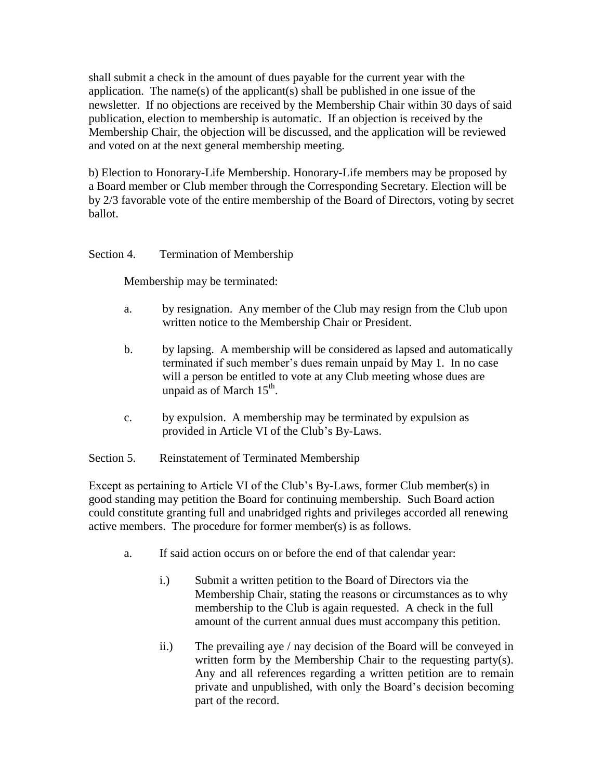shall submit a check in the amount of dues payable for the current year with the application. The name(s) of the applicant(s) shall be published in one issue of the newsletter. If no objections are received by the Membership Chair within 30 days of said publication, election to membership is automatic. If an objection is received by the Membership Chair, the objection will be discussed, and the application will be reviewed and voted on at the next general membership meeting.

b) Election to Honorary-Life Membership. Honorary-Life members may be proposed by a Board member or Club member through the Corresponding Secretary. Election will be by 2/3 favorable vote of the entire membership of the Board of Directors, voting by secret ballot.

### Section 4. Termination of Membership

Membership may be terminated:

- a. by resignation. Any member of the Club may resign from the Club upon written notice to the Membership Chair or President.
- b. by lapsing. A membership will be considered as lapsed and automatically terminated if such member's dues remain unpaid by May 1. In no case will a person be entitled to vote at any Club meeting whose dues are unpaid as of March  $15<sup>th</sup>$ .
- c. by expulsion. A membership may be terminated by expulsion as provided in Article VI of the Club's By-Laws.

#### Section 5. Reinstatement of Terminated Membership

Except as pertaining to Article VI of the Club's By-Laws, former Club member(s) in good standing may petition the Board for continuing membership. Such Board action could constitute granting full and unabridged rights and privileges accorded all renewing active members. The procedure for former member(s) is as follows.

- a. If said action occurs on or before the end of that calendar year:
	- i.) Submit a written petition to the Board of Directors via the Membership Chair, stating the reasons or circumstances as to why membership to the Club is again requested. A check in the full amount of the current annual dues must accompany this petition.
	- ii.) The prevailing aye / nay decision of the Board will be conveyed in written form by the Membership Chair to the requesting party(s). Any and all references regarding a written petition are to remain private and unpublished, with only the Board's decision becoming part of the record.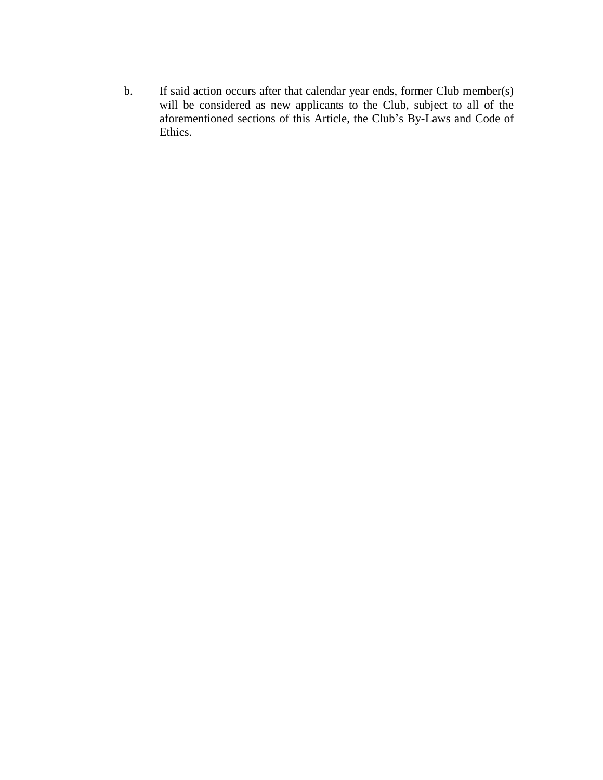b. If said action occurs after that calendar year ends, former Club member(s) will be considered as new applicants to the Club, subject to all of the aforementioned sections of this Article, the Club's By-Laws and Code of Ethics.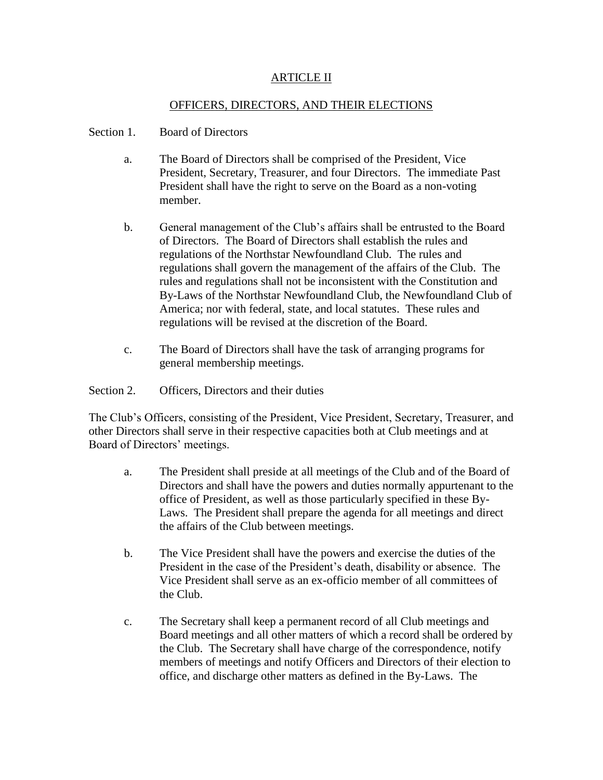### ARTICLE II

#### OFFICERS, DIRECTORS, AND THEIR ELECTIONS

#### Section 1. Board of Directors

- a. The Board of Directors shall be comprised of the President, Vice President, Secretary, Treasurer, and four Directors. The immediate Past President shall have the right to serve on the Board as a non-voting member.
- b. General management of the Club's affairs shall be entrusted to the Board of Directors. The Board of Directors shall establish the rules and regulations of the Northstar Newfoundland Club. The rules and regulations shall govern the management of the affairs of the Club. The rules and regulations shall not be inconsistent with the Constitution and By-Laws of the Northstar Newfoundland Club, the Newfoundland Club of America; nor with federal, state, and local statutes. These rules and regulations will be revised at the discretion of the Board.
- c. The Board of Directors shall have the task of arranging programs for general membership meetings.
- Section 2. Officers, Directors and their duties

The Club's Officers, consisting of the President, Vice President, Secretary, Treasurer, and other Directors shall serve in their respective capacities both at Club meetings and at Board of Directors' meetings.

- a. The President shall preside at all meetings of the Club and of the Board of Directors and shall have the powers and duties normally appurtenant to the office of President, as well as those particularly specified in these By-Laws. The President shall prepare the agenda for all meetings and direct the affairs of the Club between meetings.
- b. The Vice President shall have the powers and exercise the duties of the President in the case of the President's death, disability or absence. The Vice President shall serve as an ex-officio member of all committees of the Club.
- c. The Secretary shall keep a permanent record of all Club meetings and Board meetings and all other matters of which a record shall be ordered by the Club. The Secretary shall have charge of the correspondence, notify members of meetings and notify Officers and Directors of their election to office, and discharge other matters as defined in the By-Laws. The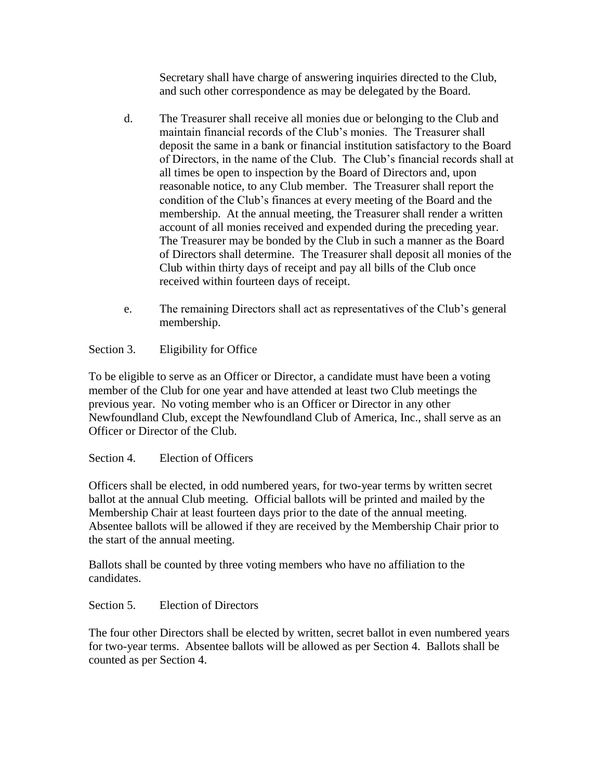Secretary shall have charge of answering inquiries directed to the Club, and such other correspondence as may be delegated by the Board.

- d. The Treasurer shall receive all monies due or belonging to the Club and maintain financial records of the Club's monies. The Treasurer shall deposit the same in a bank or financial institution satisfactory to the Board of Directors, in the name of the Club. The Club's financial records shall at all times be open to inspection by the Board of Directors and, upon reasonable notice, to any Club member. The Treasurer shall report the condition of the Club's finances at every meeting of the Board and the membership. At the annual meeting, the Treasurer shall render a written account of all monies received and expended during the preceding year. The Treasurer may be bonded by the Club in such a manner as the Board of Directors shall determine. The Treasurer shall deposit all monies of the Club within thirty days of receipt and pay all bills of the Club once received within fourteen days of receipt.
- e. The remaining Directors shall act as representatives of the Club's general membership.

# Section 3. Eligibility for Office

To be eligible to serve as an Officer or Director, a candidate must have been a voting member of the Club for one year and have attended at least two Club meetings the previous year. No voting member who is an Officer or Director in any other Newfoundland Club, except the Newfoundland Club of America, Inc., shall serve as an Officer or Director of the Club.

## Section 4. Election of Officers

Officers shall be elected, in odd numbered years, for two-year terms by written secret ballot at the annual Club meeting. Official ballots will be printed and mailed by the Membership Chair at least fourteen days prior to the date of the annual meeting. Absentee ballots will be allowed if they are received by the Membership Chair prior to the start of the annual meeting.

Ballots shall be counted by three voting members who have no affiliation to the candidates.

#### Section 5. Election of Directors

The four other Directors shall be elected by written, secret ballot in even numbered years for two-year terms. Absentee ballots will be allowed as per Section 4. Ballots shall be counted as per Section 4.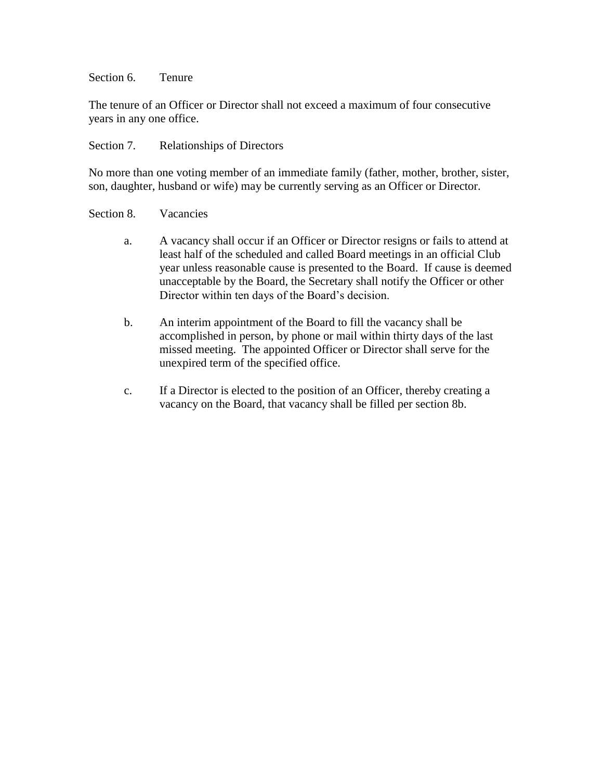Section 6. Tenure

The tenure of an Officer or Director shall not exceed a maximum of four consecutive years in any one office.

#### Section 7. Relationships of Directors

No more than one voting member of an immediate family (father, mother, brother, sister, son, daughter, husband or wife) may be currently serving as an Officer or Director.

#### Section 8. Vacancies

- a. A vacancy shall occur if an Officer or Director resigns or fails to attend at least half of the scheduled and called Board meetings in an official Club year unless reasonable cause is presented to the Board. If cause is deemed unacceptable by the Board, the Secretary shall notify the Officer or other Director within ten days of the Board's decision.
- b. An interim appointment of the Board to fill the vacancy shall be accomplished in person, by phone or mail within thirty days of the last missed meeting. The appointed Officer or Director shall serve for the unexpired term of the specified office.
- c. If a Director is elected to the position of an Officer, thereby creating a vacancy on the Board, that vacancy shall be filled per section 8b.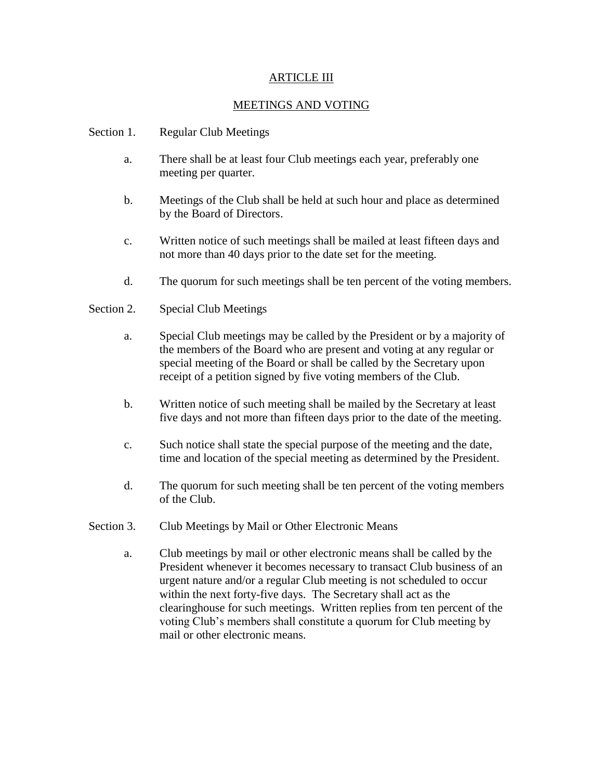#### ARTICLE III

## MEETINGS AND VOTING

- Section 1. Regular Club Meetings
	- a. There shall be at least four Club meetings each year, preferably one meeting per quarter.
	- b. Meetings of the Club shall be held at such hour and place as determined by the Board of Directors.
	- c. Written notice of such meetings shall be mailed at least fifteen days and not more than 40 days prior to the date set for the meeting.
	- d. The quorum for such meetings shall be ten percent of the voting members.
- Section 2. Special Club Meetings
	- a. Special Club meetings may be called by the President or by a majority of the members of the Board who are present and voting at any regular or special meeting of the Board or shall be called by the Secretary upon receipt of a petition signed by five voting members of the Club.
	- b. Written notice of such meeting shall be mailed by the Secretary at least five days and not more than fifteen days prior to the date of the meeting.
	- c. Such notice shall state the special purpose of the meeting and the date, time and location of the special meeting as determined by the President.
	- d. The quorum for such meeting shall be ten percent of the voting members of the Club.
- Section 3. Club Meetings by Mail or Other Electronic Means
	- a. Club meetings by mail or other electronic means shall be called by the President whenever it becomes necessary to transact Club business of an urgent nature and/or a regular Club meeting is not scheduled to occur within the next forty-five days. The Secretary shall act as the clearinghouse for such meetings. Written replies from ten percent of the voting Club's members shall constitute a quorum for Club meeting by mail or other electronic means.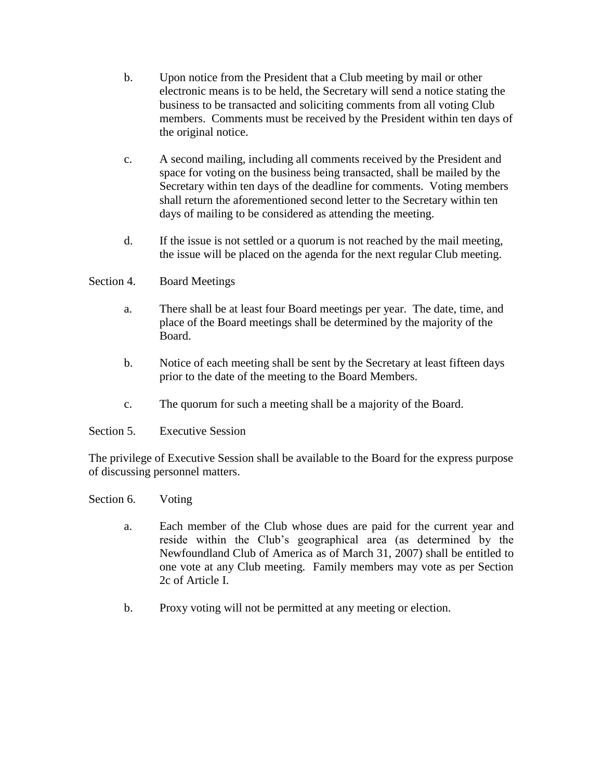- b. Upon notice from the President that a Club meeting by mail or other electronic means is to be held, the Secretary will send a notice stating the business to be transacted and soliciting comments from all voting Club members. Comments must be received by the President within ten days of the original notice.
- c. A second mailing, including all comments received by the President and space for voting on the business being transacted, shall be mailed by the Secretary within ten days of the deadline for comments. Voting members shall return the aforementioned second letter to the Secretary within ten days of mailing to be considered as attending the meeting.
- d. If the issue is not settled or a quorum is not reached by the mail meeting, the issue will be placed on the agenda for the next regular Club meeting.
- Section 4. Board Meetings
	- a. There shall be at least four Board meetings per year. The date, time, and place of the Board meetings shall be determined by the majority of the Board.
	- b. Notice of each meeting shall be sent by the Secretary at least fifteen days prior to the date of the meeting to the Board Members.
	- c. The quorum for such a meeting shall be a majority of the Board.
- Section 5. Executive Session

The privilege of Executive Session shall be available to the Board for the express purpose of discussing personnel matters.

Section 6. Voting

- a. Each member of the Club whose dues are paid for the current year and reside within the Club's geographical area (as determined by the Newfoundland Club of America as of March 31, 2007) shall be entitled to one vote at any Club meeting. Family members may vote as per Section 2c of Article I.
- b. Proxy voting will not be permitted at any meeting or election.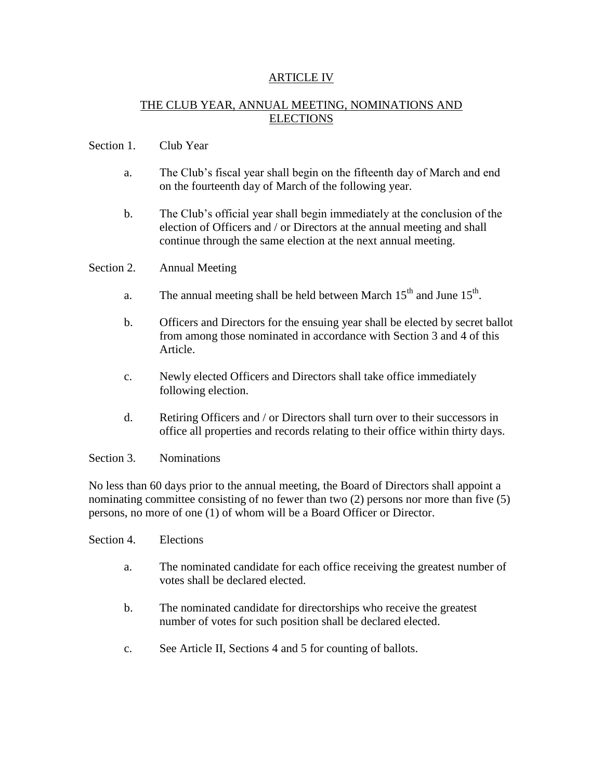### ARTICLE IV

## THE CLUB YEAR, ANNUAL MEETING, NOMINATIONS AND **ELECTIONS**

#### Section 1. Club Year

- a. The Club's fiscal year shall begin on the fifteenth day of March and end on the fourteenth day of March of the following year.
- b. The Club's official year shall begin immediately at the conclusion of the election of Officers and / or Directors at the annual meeting and shall continue through the same election at the next annual meeting.

#### Section 2. Annual Meeting

- a. The annual meeting shall be held between March  $15<sup>th</sup>$  and June  $15<sup>th</sup>$ .
- b. Officers and Directors for the ensuing year shall be elected by secret ballot from among those nominated in accordance with Section 3 and 4 of this Article.
- c. Newly elected Officers and Directors shall take office immediately following election.
- d. Retiring Officers and / or Directors shall turn over to their successors in office all properties and records relating to their office within thirty days.

#### Section 3. Nominations

No less than 60 days prior to the annual meeting, the Board of Directors shall appoint a nominating committee consisting of no fewer than two (2) persons nor more than five (5) persons, no more of one (1) of whom will be a Board Officer or Director.

- Section 4. Elections
	- a. The nominated candidate for each office receiving the greatest number of votes shall be declared elected.
	- b. The nominated candidate for directorships who receive the greatest number of votes for such position shall be declared elected.
	- c. See Article II, Sections 4 and 5 for counting of ballots.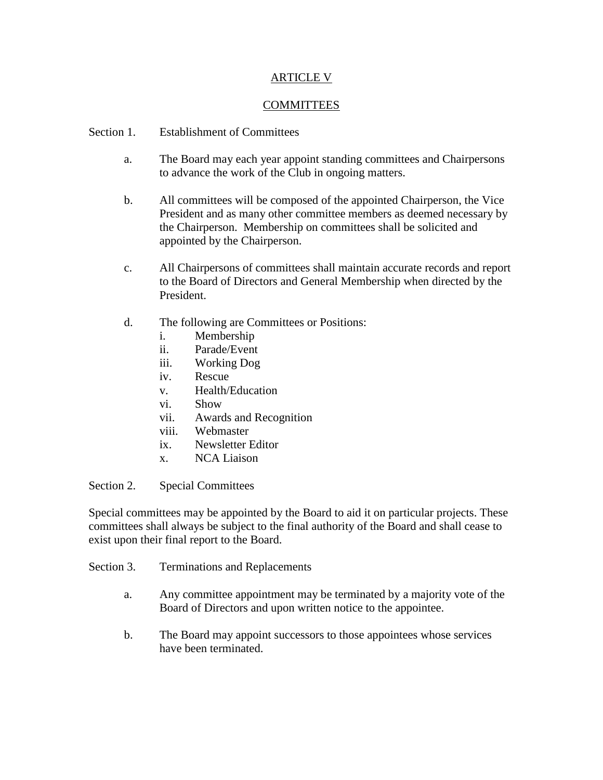#### ARTICLE V

### **COMMITTEES**

#### Section 1. Establishment of Committees

- a. The Board may each year appoint standing committees and Chairpersons to advance the work of the Club in ongoing matters.
- b. All committees will be composed of the appointed Chairperson, the Vice President and as many other committee members as deemed necessary by the Chairperson. Membership on committees shall be solicited and appointed by the Chairperson.
- c. All Chairpersons of committees shall maintain accurate records and report to the Board of Directors and General Membership when directed by the President.
- d. The following are Committees or Positions:
	- i. Membership
	- ii. Parade/Event
	- iii. Working Dog
	- iv. Rescue
	- v. Health/Education
	- vi. Show
	- vii. Awards and Recognition
	- viii. Webmaster
	- ix. Newsletter Editor
	- x. NCA Liaison

Section 2. Special Committees

Special committees may be appointed by the Board to aid it on particular projects. These committees shall always be subject to the final authority of the Board and shall cease to exist upon their final report to the Board.

Section 3. Terminations and Replacements

- a. Any committee appointment may be terminated by a majority vote of the Board of Directors and upon written notice to the appointee.
- b. The Board may appoint successors to those appointees whose services have been terminated.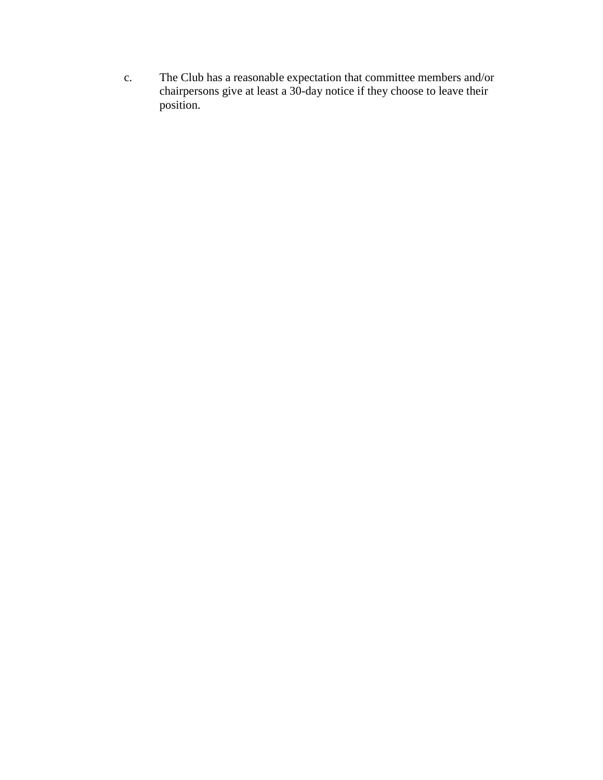c. The Club has a reasonable expectation that committee members and/or chairpersons give at least a 30-day notice if they choose to leave their position.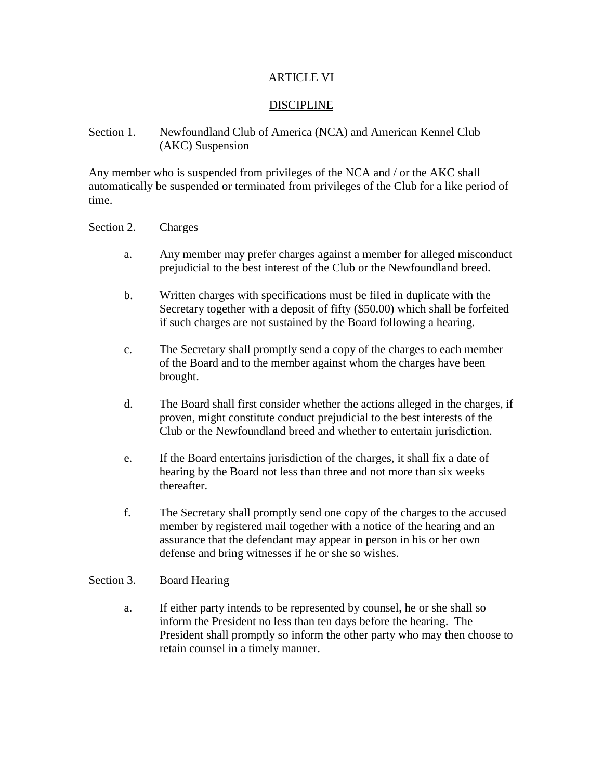#### ARTICLE VI

#### DISCIPLINE

#### Section 1. Newfoundland Club of America (NCA) and American Kennel Club (AKC) Suspension

Any member who is suspended from privileges of the NCA and / or the AKC shall automatically be suspended or terminated from privileges of the Club for a like period of time.

#### Section 2. Charges

- a. Any member may prefer charges against a member for alleged misconduct prejudicial to the best interest of the Club or the Newfoundland breed.
- b. Written charges with specifications must be filed in duplicate with the Secretary together with a deposit of fifty (\$50.00) which shall be forfeited if such charges are not sustained by the Board following a hearing.
- c. The Secretary shall promptly send a copy of the charges to each member of the Board and to the member against whom the charges have been brought.
- d. The Board shall first consider whether the actions alleged in the charges, if proven, might constitute conduct prejudicial to the best interests of the Club or the Newfoundland breed and whether to entertain jurisdiction.
- e. If the Board entertains jurisdiction of the charges, it shall fix a date of hearing by the Board not less than three and not more than six weeks thereafter.
- f. The Secretary shall promptly send one copy of the charges to the accused member by registered mail together with a notice of the hearing and an assurance that the defendant may appear in person in his or her own defense and bring witnesses if he or she so wishes.

#### Section 3. Board Hearing

a. If either party intends to be represented by counsel, he or she shall so inform the President no less than ten days before the hearing. The President shall promptly so inform the other party who may then choose to retain counsel in a timely manner.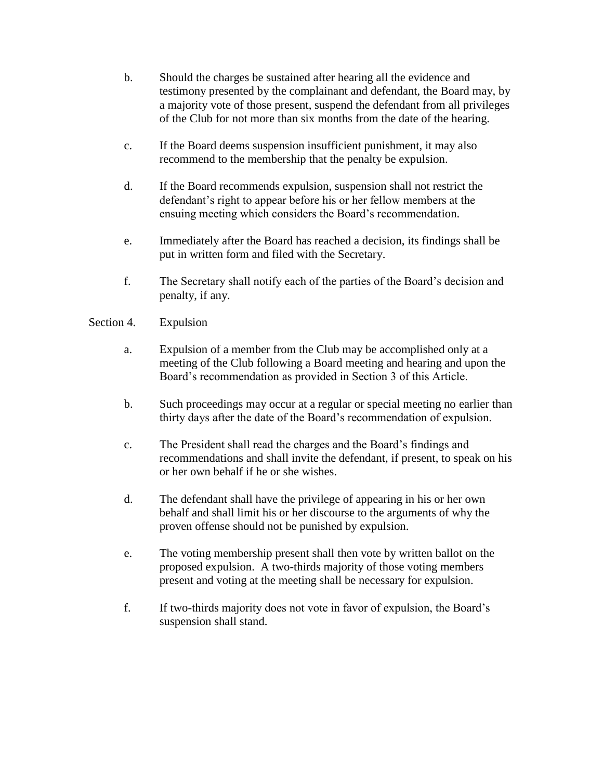- b. Should the charges be sustained after hearing all the evidence and testimony presented by the complainant and defendant, the Board may, by a majority vote of those present, suspend the defendant from all privileges of the Club for not more than six months from the date of the hearing.
- c. If the Board deems suspension insufficient punishment, it may also recommend to the membership that the penalty be expulsion.
- d. If the Board recommends expulsion, suspension shall not restrict the defendant's right to appear before his or her fellow members at the ensuing meeting which considers the Board's recommendation.
- e. Immediately after the Board has reached a decision, its findings shall be put in written form and filed with the Secretary.
- f. The Secretary shall notify each of the parties of the Board's decision and penalty, if any.

## Section 4. Expulsion

- a. Expulsion of a member from the Club may be accomplished only at a meeting of the Club following a Board meeting and hearing and upon the Board's recommendation as provided in Section 3 of this Article.
- b. Such proceedings may occur at a regular or special meeting no earlier than thirty days after the date of the Board's recommendation of expulsion.
- c. The President shall read the charges and the Board's findings and recommendations and shall invite the defendant, if present, to speak on his or her own behalf if he or she wishes.
- d. The defendant shall have the privilege of appearing in his or her own behalf and shall limit his or her discourse to the arguments of why the proven offense should not be punished by expulsion.
- e. The voting membership present shall then vote by written ballot on the proposed expulsion. A two-thirds majority of those voting members present and voting at the meeting shall be necessary for expulsion.
- f. If two-thirds majority does not vote in favor of expulsion, the Board's suspension shall stand.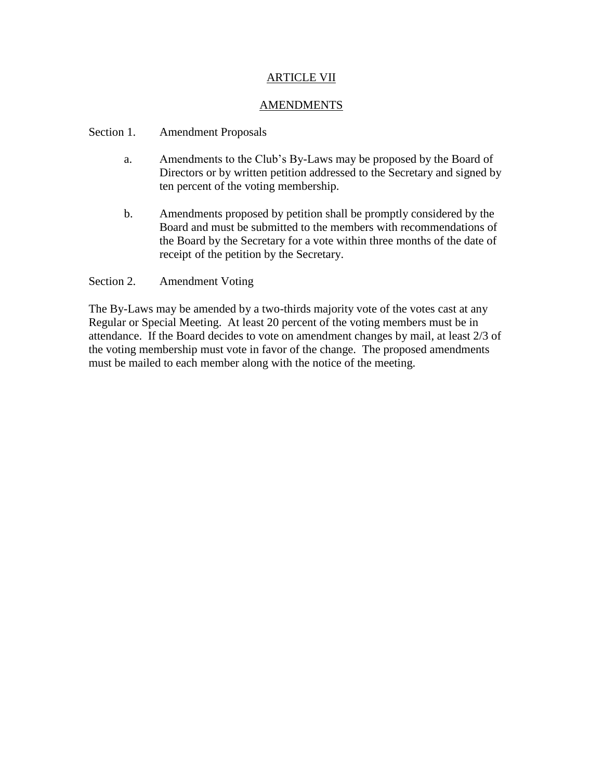## ARTICLE VII

#### AMENDMENTS

#### Section 1. Amendment Proposals

- a. Amendments to the Club's By-Laws may be proposed by the Board of Directors or by written petition addressed to the Secretary and signed by ten percent of the voting membership.
- b. Amendments proposed by petition shall be promptly considered by the Board and must be submitted to the members with recommendations of the Board by the Secretary for a vote within three months of the date of receipt of the petition by the Secretary.

#### Section 2. Amendment Voting

The By-Laws may be amended by a two-thirds majority vote of the votes cast at any Regular or Special Meeting. At least 20 percent of the voting members must be in attendance. If the Board decides to vote on amendment changes by mail, at least 2/3 of the voting membership must vote in favor of the change. The proposed amendments must be mailed to each member along with the notice of the meeting.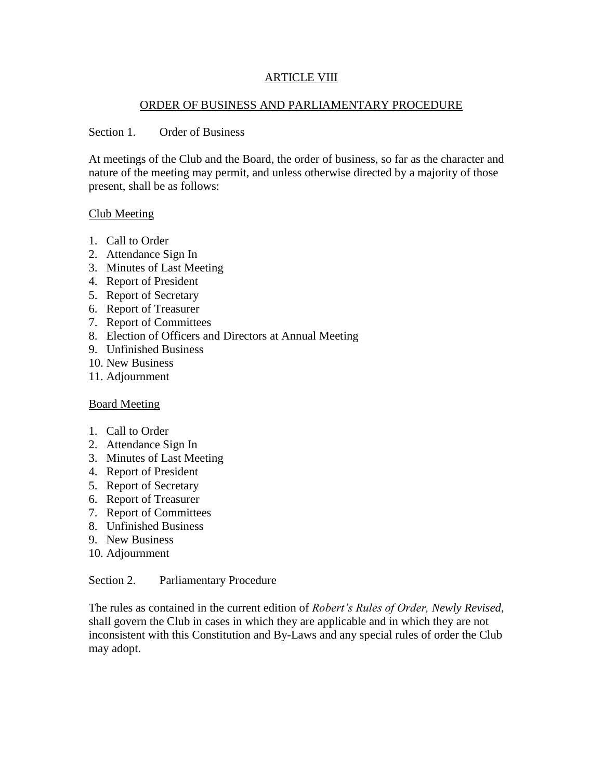#### ARTICLE VIII

#### ORDER OF BUSINESS AND PARLIAMENTARY PROCEDURE

#### Section 1. Order of Business

At meetings of the Club and the Board, the order of business, so far as the character and nature of the meeting may permit, and unless otherwise directed by a majority of those present, shall be as follows:

#### Club Meeting

- 1. Call to Order
- 2. Attendance Sign In
- 3. Minutes of Last Meeting
- 4. Report of President
- 5. Report of Secretary
- 6. Report of Treasurer
- 7. Report of Committees
- 8. Election of Officers and Directors at Annual Meeting
- 9. Unfinished Business
- 10. New Business
- 11. Adjournment

#### Board Meeting

- 1. Call to Order
- 2. Attendance Sign In
- 3. Minutes of Last Meeting
- 4. Report of President
- 5. Report of Secretary
- 6. Report of Treasurer
- 7. Report of Committees
- 8. Unfinished Business
- 9. New Business
- 10. Adjournment

Section 2. Parliamentary Procedure

The rules as contained in the current edition of *Robert's Rules of Order, Newly Revised*, shall govern the Club in cases in which they are applicable and in which they are not inconsistent with this Constitution and By-Laws and any special rules of order the Club may adopt.